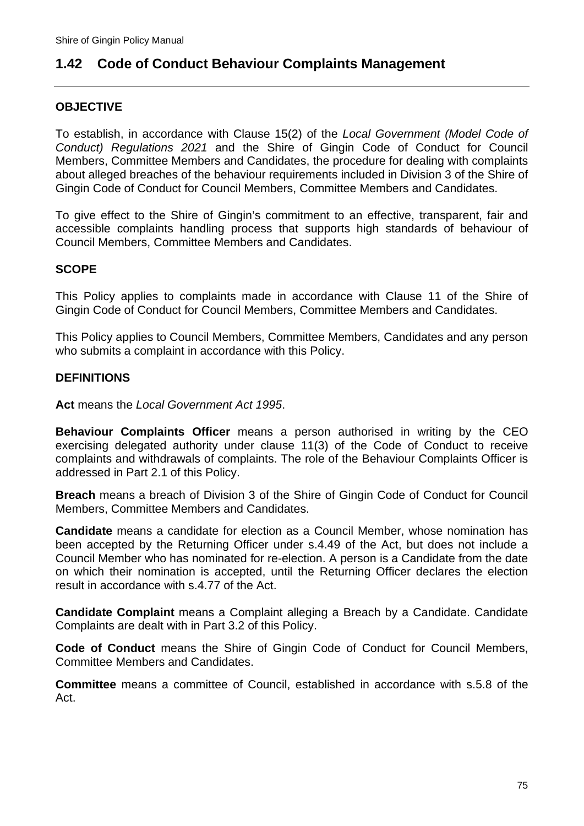# **1.42 Code of Conduct Behaviour Complaints Management**

#### **OBJECTIVE**

To establish, in accordance with Clause 15(2) of the *Local Government (Model Code of Conduct) Regulations 2021* and the Shire of Gingin Code of Conduct for Council Members, Committee Members and Candidates, the procedure for dealing with complaints about alleged breaches of the behaviour requirements included in Division 3 of the Shire of Gingin Code of Conduct for Council Members, Committee Members and Candidates.

To give effect to the Shire of Gingin's commitment to an effective, transparent, fair and accessible complaints handling process that supports high standards of behaviour of Council Members, Committee Members and Candidates.

#### **SCOPE**

This Policy applies to complaints made in accordance with Clause 11 of the Shire of Gingin Code of Conduct for Council Members, Committee Members and Candidates.

This Policy applies to Council Members, Committee Members, Candidates and any person who submits a complaint in accordance with this Policy.

#### **DEFINITIONS**

**Act** means the *Local Government Act 1995*.

**Behaviour Complaints Officer** means a person authorised in writing by the CEO exercising delegated authority under clause 11(3) of the Code of Conduct to receive complaints and withdrawals of complaints. The role of the Behaviour Complaints Officer is addressed in Part 2.1 of this Policy.

**Breach** means a breach of Division 3 of the Shire of Gingin Code of Conduct for Council Members, Committee Members and Candidates.

**Candidate** means a candidate for election as a Council Member, whose nomination has been accepted by the Returning Officer under s.4.49 of the Act, but does not include a Council Member who has nominated for re-election. A person is a Candidate from the date on which their nomination is accepted, until the Returning Officer declares the election result in accordance with s.4.77 of the Act.

**Candidate Complaint** means a Complaint alleging a Breach by a Candidate. Candidate Complaints are dealt with in Part 3.2 of this Policy.

**Code of Conduct** means the Shire of Gingin Code of Conduct for Council Members, Committee Members and Candidates.

**Committee** means a committee of Council, established in accordance with s.5.8 of the Act.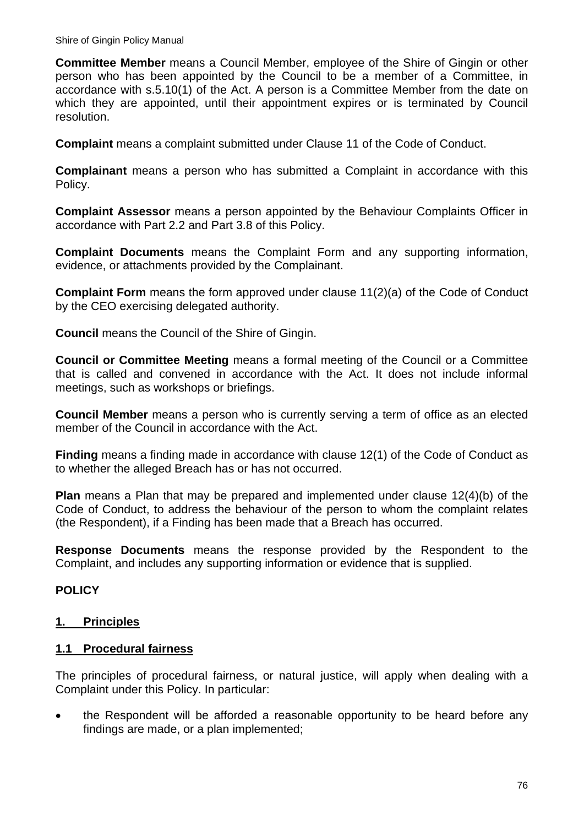**Committee Member** means a Council Member, employee of the Shire of Gingin or other person who has been appointed by the Council to be a member of a Committee, in accordance with s.5.10(1) of the Act. A person is a Committee Member from the date on which they are appointed, until their appointment expires or is terminated by Council resolution.

**Complaint** means a complaint submitted under Clause 11 of the Code of Conduct.

**Complainant** means a person who has submitted a Complaint in accordance with this Policy.

**Complaint Assessor** means a person appointed by the Behaviour Complaints Officer in accordance with Part 2.2 and Part 3.8 of this Policy.

**Complaint Documents** means the Complaint Form and any supporting information, evidence, or attachments provided by the Complainant.

**Complaint Form** means the form approved under clause 11(2)(a) of the Code of Conduct by the CEO exercising delegated authority.

**Council** means the Council of the Shire of Gingin.

**Council or Committee Meeting** means a formal meeting of the Council or a Committee that is called and convened in accordance with the Act. It does not include informal meetings, such as workshops or briefings.

**Council Member** means a person who is currently serving a term of office as an elected member of the Council in accordance with the Act.

**Finding** means a finding made in accordance with clause 12(1) of the Code of Conduct as to whether the alleged Breach has or has not occurred.

**Plan** means a Plan that may be prepared and implemented under clause 12(4)(b) of the Code of Conduct, to address the behaviour of the person to whom the complaint relates (the Respondent), if a Finding has been made that a Breach has occurred.

**Response Documents** means the response provided by the Respondent to the Complaint, and includes any supporting information or evidence that is supplied.

### **POLICY**

### **1. Principles**

#### **1.1 Procedural fairness**

The principles of procedural fairness, or natural justice, will apply when dealing with a Complaint under this Policy. In particular:

 the Respondent will be afforded a reasonable opportunity to be heard before any findings are made, or a plan implemented;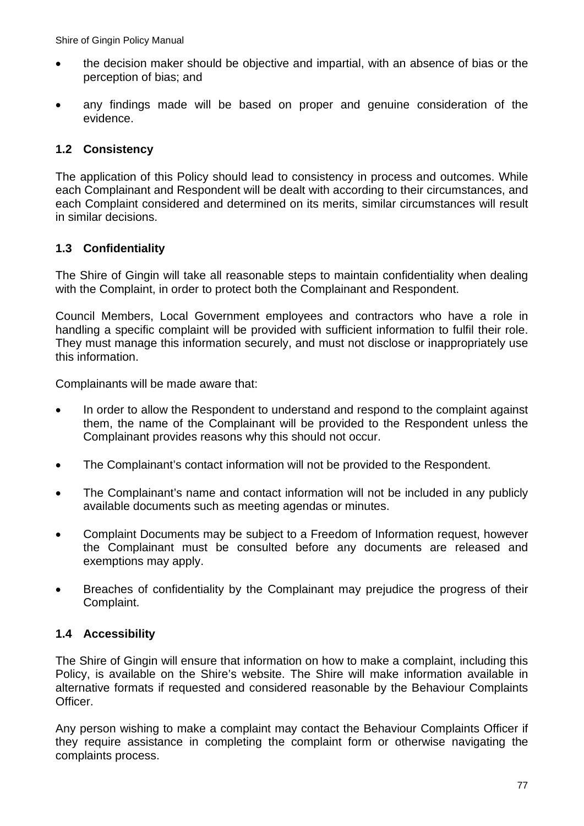- the decision maker should be objective and impartial, with an absence of bias or the perception of bias; and
- any findings made will be based on proper and genuine consideration of the evidence.

## **1.2 Consistency**

The application of this Policy should lead to consistency in process and outcomes. While each Complainant and Respondent will be dealt with according to their circumstances, and each Complaint considered and determined on its merits, similar circumstances will result in similar decisions.

### **1.3 Confidentiality**

The Shire of Gingin will take all reasonable steps to maintain confidentiality when dealing with the Complaint, in order to protect both the Complainant and Respondent.

Council Members, Local Government employees and contractors who have a role in handling a specific complaint will be provided with sufficient information to fulfil their role. They must manage this information securely, and must not disclose or inappropriately use this information.

Complainants will be made aware that:

- In order to allow the Respondent to understand and respond to the complaint against them, the name of the Complainant will be provided to the Respondent unless the Complainant provides reasons why this should not occur.
- The Complainant's contact information will not be provided to the Respondent.
- The Complainant's name and contact information will not be included in any publicly available documents such as meeting agendas or minutes.
- Complaint Documents may be subject to a Freedom of Information request, however the Complainant must be consulted before any documents are released and exemptions may apply.
- Breaches of confidentiality by the Complainant may prejudice the progress of their Complaint.

## **1.4 Accessibility**

The Shire of Gingin will ensure that information on how to make a complaint, including this Policy, is available on the Shire's website. The Shire will make information available in alternative formats if requested and considered reasonable by the Behaviour Complaints Officer.

Any person wishing to make a complaint may contact the Behaviour Complaints Officer if they require assistance in completing the complaint form or otherwise navigating the complaints process.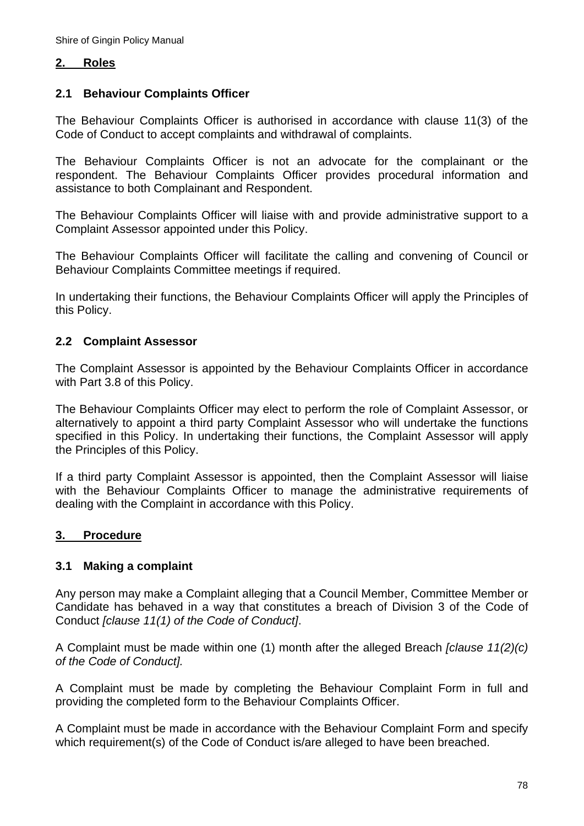#### **2. Roles**

#### **2.1 Behaviour Complaints Officer**

The Behaviour Complaints Officer is authorised in accordance with clause 11(3) of the Code of Conduct to accept complaints and withdrawal of complaints.

The Behaviour Complaints Officer is not an advocate for the complainant or the respondent. The Behaviour Complaints Officer provides procedural information and assistance to both Complainant and Respondent.

The Behaviour Complaints Officer will liaise with and provide administrative support to a Complaint Assessor appointed under this Policy.

The Behaviour Complaints Officer will facilitate the calling and convening of Council or Behaviour Complaints Committee meetings if required.

In undertaking their functions, the Behaviour Complaints Officer will apply the Principles of this Policy.

#### **2.2 Complaint Assessor**

The Complaint Assessor is appointed by the Behaviour Complaints Officer in accordance with Part 3.8 of this Policy.

The Behaviour Complaints Officer may elect to perform the role of Complaint Assessor, or alternatively to appoint a third party Complaint Assessor who will undertake the functions specified in this Policy. In undertaking their functions, the Complaint Assessor will apply the Principles of this Policy.

If a third party Complaint Assessor is appointed, then the Complaint Assessor will liaise with the Behaviour Complaints Officer to manage the administrative requirements of dealing with the Complaint in accordance with this Policy.

#### **3. Procedure**

#### **3.1 Making a complaint**

Any person may make a Complaint alleging that a Council Member, Committee Member or Candidate has behaved in a way that constitutes a breach of Division 3 of the Code of Conduct *[clause 11(1) of the Code of Conduct]*.

A Complaint must be made within one (1) month after the alleged Breach *[clause 11(2)(c) of the Code of Conduct].* 

A Complaint must be made by completing the Behaviour Complaint Form in full and providing the completed form to the Behaviour Complaints Officer.

A Complaint must be made in accordance with the Behaviour Complaint Form and specify which requirement(s) of the Code of Conduct is/are alleged to have been breached.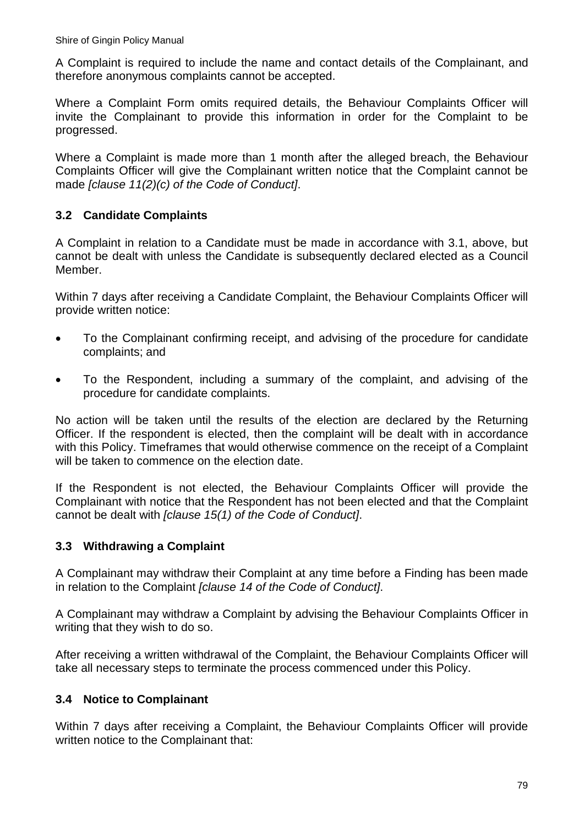A Complaint is required to include the name and contact details of the Complainant, and therefore anonymous complaints cannot be accepted.

Where a Complaint Form omits required details, the Behaviour Complaints Officer will invite the Complainant to provide this information in order for the Complaint to be progressed.

Where a Complaint is made more than 1 month after the alleged breach, the Behaviour Complaints Officer will give the Complainant written notice that the Complaint cannot be made *[clause 11(2)(c) of the Code of Conduct]*.

### **3.2 Candidate Complaints**

A Complaint in relation to a Candidate must be made in accordance with 3.1, above, but cannot be dealt with unless the Candidate is subsequently declared elected as a Council Member.

Within 7 days after receiving a Candidate Complaint, the Behaviour Complaints Officer will provide written notice:

- To the Complainant confirming receipt, and advising of the procedure for candidate complaints; and
- To the Respondent, including a summary of the complaint, and advising of the procedure for candidate complaints.

No action will be taken until the results of the election are declared by the Returning Officer. If the respondent is elected, then the complaint will be dealt with in accordance with this Policy. Timeframes that would otherwise commence on the receipt of a Complaint will be taken to commence on the election date.

If the Respondent is not elected, the Behaviour Complaints Officer will provide the Complainant with notice that the Respondent has not been elected and that the Complaint cannot be dealt with *[clause 15(1) of the Code of Conduct]*.

### **3.3 Withdrawing a Complaint**

A Complainant may withdraw their Complaint at any time before a Finding has been made in relation to the Complaint *[clause 14 of the Code of Conduct]*.

A Complainant may withdraw a Complaint by advising the Behaviour Complaints Officer in writing that they wish to do so.

After receiving a written withdrawal of the Complaint, the Behaviour Complaints Officer will take all necessary steps to terminate the process commenced under this Policy.

## **3.4 Notice to Complainant**

Within 7 days after receiving a Complaint, the Behaviour Complaints Officer will provide written notice to the Complainant that: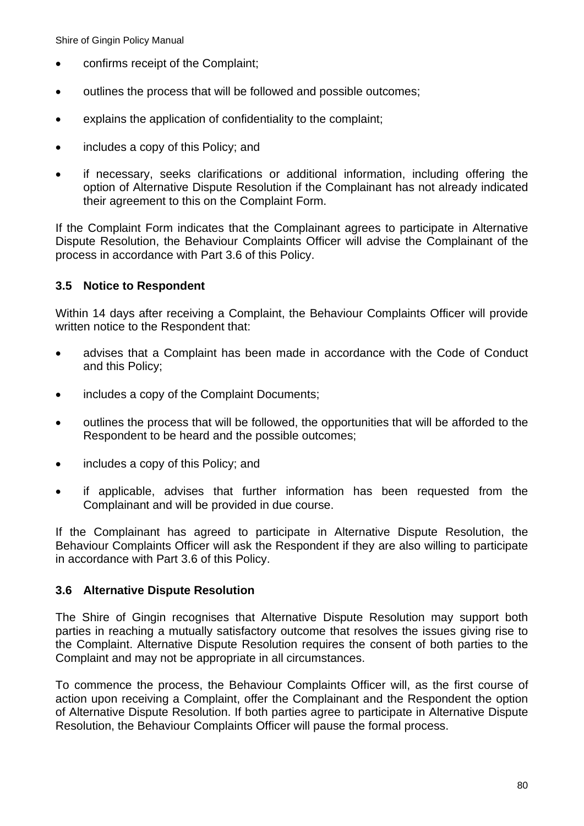- confirms receipt of the Complaint;
- $\bullet$  outlines the process that will be followed and possible outcomes;
- explains the application of confidentiality to the complaint;
- includes a copy of this Policy; and
- if necessary, seeks clarifications or additional information, including offering the option of Alternative Dispute Resolution if the Complainant has not already indicated their agreement to this on the Complaint Form.

If the Complaint Form indicates that the Complainant agrees to participate in Alternative Dispute Resolution, the Behaviour Complaints Officer will advise the Complainant of the process in accordance with Part 3.6 of this Policy.

### **3.5 Notice to Respondent**

Within 14 days after receiving a Complaint, the Behaviour Complaints Officer will provide written notice to the Respondent that:

- advises that a Complaint has been made in accordance with the Code of Conduct and this Policy;
- includes a copy of the Complaint Documents;
- outlines the process that will be followed, the opportunities that will be afforded to the Respondent to be heard and the possible outcomes;
- includes a copy of this Policy; and
- if applicable, advises that further information has been requested from the Complainant and will be provided in due course.

If the Complainant has agreed to participate in Alternative Dispute Resolution, the Behaviour Complaints Officer will ask the Respondent if they are also willing to participate in accordance with Part 3.6 of this Policy.

#### **3.6 Alternative Dispute Resolution**

The Shire of Gingin recognises that Alternative Dispute Resolution may support both parties in reaching a mutually satisfactory outcome that resolves the issues giving rise to the Complaint. Alternative Dispute Resolution requires the consent of both parties to the Complaint and may not be appropriate in all circumstances.

To commence the process, the Behaviour Complaints Officer will, as the first course of action upon receiving a Complaint, offer the Complainant and the Respondent the option of Alternative Dispute Resolution. If both parties agree to participate in Alternative Dispute Resolution, the Behaviour Complaints Officer will pause the formal process.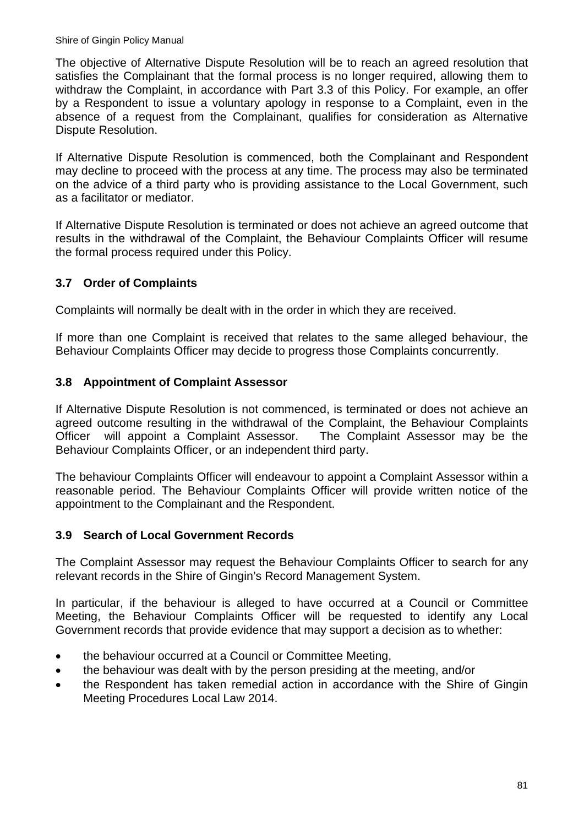The objective of Alternative Dispute Resolution will be to reach an agreed resolution that satisfies the Complainant that the formal process is no longer required, allowing them to withdraw the Complaint, in accordance with Part 3.3 of this Policy. For example, an offer by a Respondent to issue a voluntary apology in response to a Complaint, even in the absence of a request from the Complainant, qualifies for consideration as Alternative Dispute Resolution.

If Alternative Dispute Resolution is commenced, both the Complainant and Respondent may decline to proceed with the process at any time. The process may also be terminated on the advice of a third party who is providing assistance to the Local Government, such as a facilitator or mediator.

If Alternative Dispute Resolution is terminated or does not achieve an agreed outcome that results in the withdrawal of the Complaint, the Behaviour Complaints Officer will resume the formal process required under this Policy.

## **3.7 Order of Complaints**

Complaints will normally be dealt with in the order in which they are received.

If more than one Complaint is received that relates to the same alleged behaviour, the Behaviour Complaints Officer may decide to progress those Complaints concurrently.

### **3.8 Appointment of Complaint Assessor**

If Alternative Dispute Resolution is not commenced, is terminated or does not achieve an agreed outcome resulting in the withdrawal of the Complaint, the Behaviour Complaints Officer will appoint a Complaint Assessor. The Complaint Assessor may be the Behaviour Complaints Officer, or an independent third party.

The behaviour Complaints Officer will endeavour to appoint a Complaint Assessor within a reasonable period. The Behaviour Complaints Officer will provide written notice of the appointment to the Complainant and the Respondent.

### **3.9 Search of Local Government Records**

The Complaint Assessor may request the Behaviour Complaints Officer to search for any relevant records in the Shire of Gingin's Record Management System.

In particular, if the behaviour is alleged to have occurred at a Council or Committee Meeting, the Behaviour Complaints Officer will be requested to identify any Local Government records that provide evidence that may support a decision as to whether:

- the behaviour occurred at a Council or Committee Meeting,
- the behaviour was dealt with by the person presiding at the meeting, and/or
- the Respondent has taken remedial action in accordance with the Shire of Gingin Meeting Procedures Local Law 2014.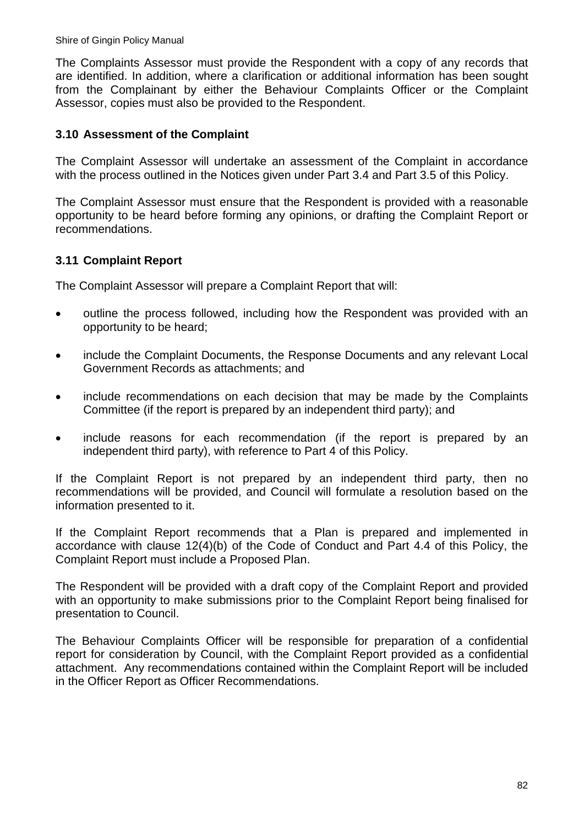The Complaints Assessor must provide the Respondent with a copy of any records that are identified. In addition, where a clarification or additional information has been sought from the Complainant by either the Behaviour Complaints Officer or the Complaint Assessor, copies must also be provided to the Respondent.

#### **3.10 Assessment of the Complaint**

The Complaint Assessor will undertake an assessment of the Complaint in accordance with the process outlined in the Notices given under Part 3.4 and Part 3.5 of this Policy.

The Complaint Assessor must ensure that the Respondent is provided with a reasonable opportunity to be heard before forming any opinions, or drafting the Complaint Report or recommendations.

#### **3.11 Complaint Report**

The Complaint Assessor will prepare a Complaint Report that will:

- outline the process followed, including how the Respondent was provided with an opportunity to be heard;
- include the Complaint Documents, the Response Documents and any relevant Local Government Records as attachments; and
- include recommendations on each decision that may be made by the Complaints Committee (if the report is prepared by an independent third party); and
- include reasons for each recommendation (if the report is prepared by an independent third party), with reference to Part 4 of this Policy.

If the Complaint Report is not prepared by an independent third party, then no recommendations will be provided, and Council will formulate a resolution based on the information presented to it.

If the Complaint Report recommends that a Plan is prepared and implemented in accordance with clause 12(4)(b) of the Code of Conduct and Part 4.4 of this Policy, the Complaint Report must include a Proposed Plan.

The Respondent will be provided with a draft copy of the Complaint Report and provided with an opportunity to make submissions prior to the Complaint Report being finalised for presentation to Council.

The Behaviour Complaints Officer will be responsible for preparation of a confidential report for consideration by Council, with the Complaint Report provided as a confidential attachment. Any recommendations contained within the Complaint Report will be included in the Officer Report as Officer Recommendations.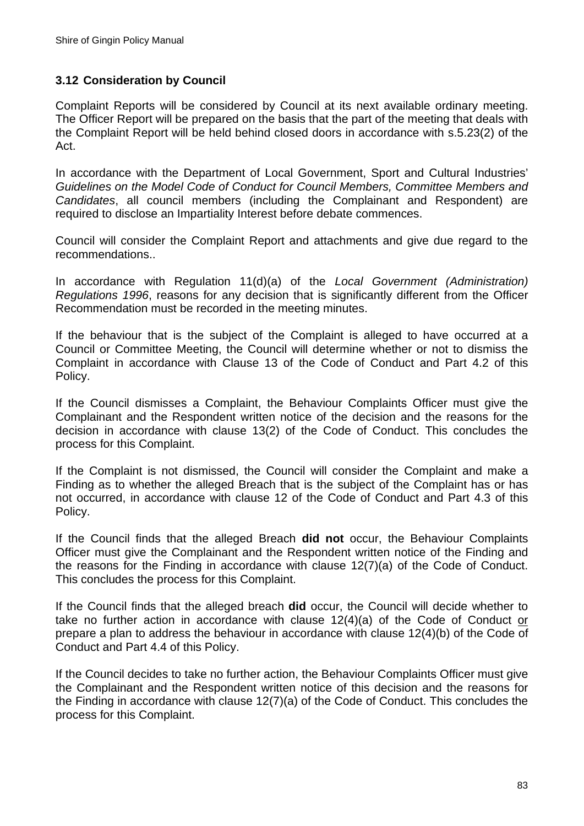### **3.12 Consideration by Council**

Complaint Reports will be considered by Council at its next available ordinary meeting. The Officer Report will be prepared on the basis that the part of the meeting that deals with the Complaint Report will be held behind closed doors in accordance with s.5.23(2) of the Act.

In accordance with the Department of Local Government, Sport and Cultural Industries' *Guidelines on the Model Code of Conduct for Council Members, Committee Members and Candidates*, all council members (including the Complainant and Respondent) are required to disclose an Impartiality Interest before debate commences.

Council will consider the Complaint Report and attachments and give due regard to the recommendations..

In accordance with Regulation 11(d)(a) of the *Local Government (Administration) Regulations 1996*, reasons for any decision that is significantly different from the Officer Recommendation must be recorded in the meeting minutes.

If the behaviour that is the subject of the Complaint is alleged to have occurred at a Council or Committee Meeting, the Council will determine whether or not to dismiss the Complaint in accordance with Clause 13 of the Code of Conduct and Part 4.2 of this Policy.

If the Council dismisses a Complaint, the Behaviour Complaints Officer must give the Complainant and the Respondent written notice of the decision and the reasons for the decision in accordance with clause 13(2) of the Code of Conduct. This concludes the process for this Complaint.

If the Complaint is not dismissed, the Council will consider the Complaint and make a Finding as to whether the alleged Breach that is the subject of the Complaint has or has not occurred, in accordance with clause 12 of the Code of Conduct and Part 4.3 of this Policy.

If the Council finds that the alleged Breach **did not** occur, the Behaviour Complaints Officer must give the Complainant and the Respondent written notice of the Finding and the reasons for the Finding in accordance with clause 12(7)(a) of the Code of Conduct. This concludes the process for this Complaint.

If the Council finds that the alleged breach **did** occur, the Council will decide whether to take no further action in accordance with clause 12(4)(a) of the Code of Conduct or prepare a plan to address the behaviour in accordance with clause 12(4)(b) of the Code of Conduct and Part 4.4 of this Policy.

If the Council decides to take no further action, the Behaviour Complaints Officer must give the Complainant and the Respondent written notice of this decision and the reasons for the Finding in accordance with clause 12(7)(a) of the Code of Conduct. This concludes the process for this Complaint.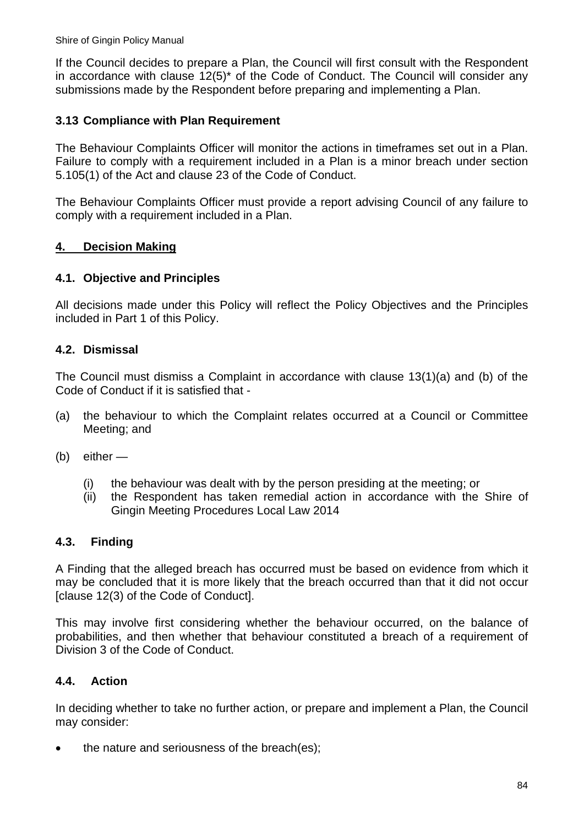If the Council decides to prepare a Plan, the Council will first consult with the Respondent in accordance with clause 12(5)\* of the Code of Conduct. The Council will consider any submissions made by the Respondent before preparing and implementing a Plan.

### **3.13 Compliance with Plan Requirement**

The Behaviour Complaints Officer will monitor the actions in timeframes set out in a Plan. Failure to comply with a requirement included in a Plan is a minor breach under section 5.105(1) of the Act and clause 23 of the Code of Conduct.

The Behaviour Complaints Officer must provide a report advising Council of any failure to comply with a requirement included in a Plan.

### **4. Decision Making**

### **4.1. Objective and Principles**

All decisions made under this Policy will reflect the Policy Objectives and the Principles included in Part 1 of this Policy.

### **4.2. Dismissal**

The Council must dismiss a Complaint in accordance with clause 13(1)(a) and (b) of the Code of Conduct if it is satisfied that -

- (a) the behaviour to which the Complaint relates occurred at a Council or Committee Meeting; and
- (b) either
	- (i) the behaviour was dealt with by the person presiding at the meeting; or
	- (ii) the Respondent has taken remedial action in accordance with the Shire of Gingin Meeting Procedures Local Law 2014

### **4.3. Finding**

A Finding that the alleged breach has occurred must be based on evidence from which it may be concluded that it is more likely that the breach occurred than that it did not occur [clause 12(3) of the Code of Conduct].

This may involve first considering whether the behaviour occurred, on the balance of probabilities, and then whether that behaviour constituted a breach of a requirement of Division 3 of the Code of Conduct.

### **4.4. Action**

In deciding whether to take no further action, or prepare and implement a Plan, the Council may consider:

• the nature and seriousness of the breach(es):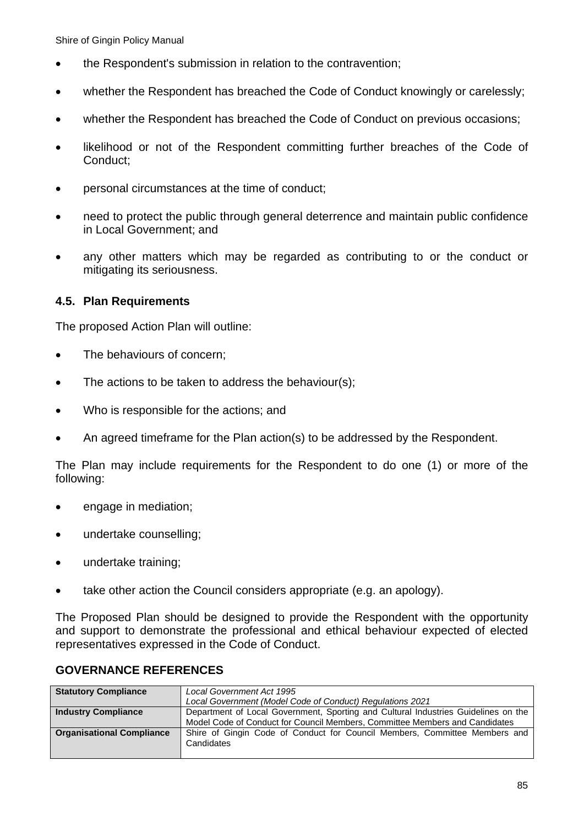- the Respondent's submission in relation to the contravention;
- whether the Respondent has breached the Code of Conduct knowingly or carelessly;
- whether the Respondent has breached the Code of Conduct on previous occasions;
- likelihood or not of the Respondent committing further breaches of the Code of Conduct;
- personal circumstances at the time of conduct;
- need to protect the public through general deterrence and maintain public confidence in Local Government; and
- any other matters which may be regarded as contributing to or the conduct or mitigating its seriousness.

#### **4.5. Plan Requirements**

The proposed Action Plan will outline:

- The behaviours of concern;
- The actions to be taken to address the behaviour(s);
- Who is responsible for the actions; and
- An agreed timeframe for the Plan action(s) to be addressed by the Respondent.

The Plan may include requirements for the Respondent to do one (1) or more of the following:

- **e** engage in mediation;
- undertake counselling;
- undertake training;
- take other action the Council considers appropriate (e.g. an apology).

The Proposed Plan should be designed to provide the Respondent with the opportunity and support to demonstrate the professional and ethical behaviour expected of elected representatives expressed in the Code of Conduct.

#### **GOVERNANCE REFERENCES**

| <b>Statutory Compliance</b>      | Local Government Act 1995                                                                |  |  |  |  |
|----------------------------------|------------------------------------------------------------------------------------------|--|--|--|--|
|                                  | Local Government (Model Code of Conduct) Regulations 2021                                |  |  |  |  |
| <b>Industry Compliance</b>       | Department of Local Government, Sporting and Cultural Industries Guidelines on the       |  |  |  |  |
|                                  | Model Code of Conduct for Council Members, Committee Members and Candidates              |  |  |  |  |
| <b>Organisational Compliance</b> | Shire of Gingin Code of Conduct for Council Members, Committee Members and<br>Candidates |  |  |  |  |